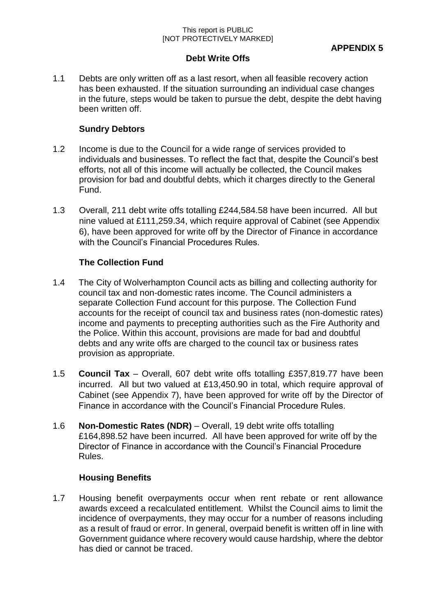#### This report is PUBLIC [NOT PROTECTIVELY MARKED]

### **Debt Write Offs**

1.1 Debts are only written off as a last resort, when all feasible recovery action has been exhausted. If the situation surrounding an individual case changes in the future, steps would be taken to pursue the debt, despite the debt having been written off.

## **Sundry Debtors**

- 1.2 Income is due to the Council for a wide range of services provided to individuals and businesses. To reflect the fact that, despite the Council's best efforts, not all of this income will actually be collected, the Council makes provision for bad and doubtful debts, which it charges directly to the General Fund.
- 1.3 Overall, 211 debt write offs totalling £244,584.58 have been incurred. All but nine valued at £111,259.34, which require approval of Cabinet (see Appendix 6), have been approved for write off by the Director of Finance in accordance with the Council's Financial Procedures Rules.

# **The Collection Fund**

- 1.4 The City of Wolverhampton Council acts as billing and collecting authority for council tax and non-domestic rates income. The Council administers a separate Collection Fund account for this purpose. The Collection Fund accounts for the receipt of council tax and business rates (non-domestic rates) income and payments to precepting authorities such as the Fire Authority and the Police. Within this account, provisions are made for bad and doubtful debts and any write offs are charged to the council tax or business rates provision as appropriate.
- 1.5 **Council Tax**  Overall, 607 debt write offs totalling £357,819.77 have been incurred. All but two valued at £13,450.90 in total, which require approval of Cabinet (see Appendix 7), have been approved for write off by the Director of Finance in accordance with the Council's Financial Procedure Rules.
- 1.6 **Non-Domestic Rates (NDR)**  Overall, 19 debt write offs totalling £164,898.52 have been incurred. All have been approved for write off by the Director of Finance in accordance with the Council's Financial Procedure Rules.

# **Housing Benefits**

1.7 Housing benefit overpayments occur when rent rebate or rent allowance awards exceed a recalculated entitlement. Whilst the Council aims to limit the incidence of overpayments, they may occur for a number of reasons including as a result of fraud or error. In general, overpaid benefit is written off in line with Government guidance where recovery would cause hardship, where the debtor has died or cannot be traced.